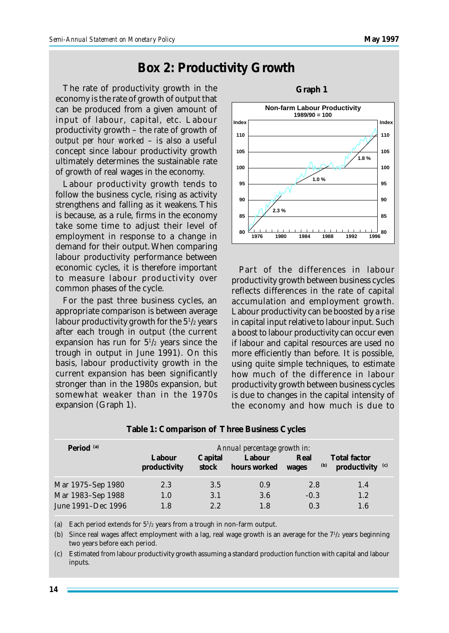## **Box 2: Productivity Growth**

The rate of productivity growth in the economy is the rate of growth of output that can be produced from a given amount of input of labour, capital, etc. Labour productivity growth – the rate of growth of *output per hour worked* – is also a useful concept since labour productivity growth ultimately determines the sustainable rate of growth of real wages in the economy.

Labour productivity growth tends to follow the business cycle, rising as activity strengthens and falling as it weakens. This is because, as a rule, firms in the economy take some time to adjust their level of employment in response to a change in demand for their output. When comparing labour productivity performance between economic cycles, it is therefore important to measure labour productivity over common phases of the cycle.

For the past three business cycles, an appropriate comparison is between average labour productivity growth for the 5<sup>1</sup> /2 years after each trough in output (the current expansion has run for  $5\frac{1}{2}$  years since the trough in output in June 1991). On this basis, labour productivity growth in the current expansion has been significantly stronger than in the 1980s expansion, but somewhat weaker than in the 1970s expansion (Graph 1).



Part of the differences in labour productivity growth between business cycles reflects differences in the rate of capital accumulation and employment growth. Labour productivity can be boosted by a rise in capital input relative to labour input. Such a boost to labour productivity can occur even if labour and capital resources are used no more efficiently than before. It is possible, using quite simple techniques, to estimate how much of the difference in labour productivity growth between business cycles is due to changes in the capital intensity of the economy and how much is due to

| Period <sup>(a)</sup> | Labour<br>productivity | Capital<br>stock | Annual percentage growth in:<br>Labour<br>hours worked | Real<br>(b)<br>wages | <b>Total factor</b><br>productivity $(c)$ |
|-----------------------|------------------------|------------------|--------------------------------------------------------|----------------------|-------------------------------------------|
| Mar 1975–Sep 1980     | 2.3                    | 3.5              | 0.9                                                    | 2.8                  | 1.4                                       |
| Mar 1983-Sep 1988     | 1.0                    | 3.1              | 3.6                                                    | $-0.3$               | 1.2                                       |
| June 1991–Dec 1996    | 1.8                    | 2.2              | 1.8                                                    | 0.3                  | 1.6                                       |

**Table 1: Comparison of Three Business Cycles**

(a) Each period extends for  $5^{1/2}$  years from a trough in non-farm output.

(b) Since real wages affect employment with a lag, real wage growth is an average for the 7<sup>1</sup>/<sub>2</sub> years beginning two years before each period.

(c) Estimated from labour productivity growth assuming a standard production function with capital and labour inputs.